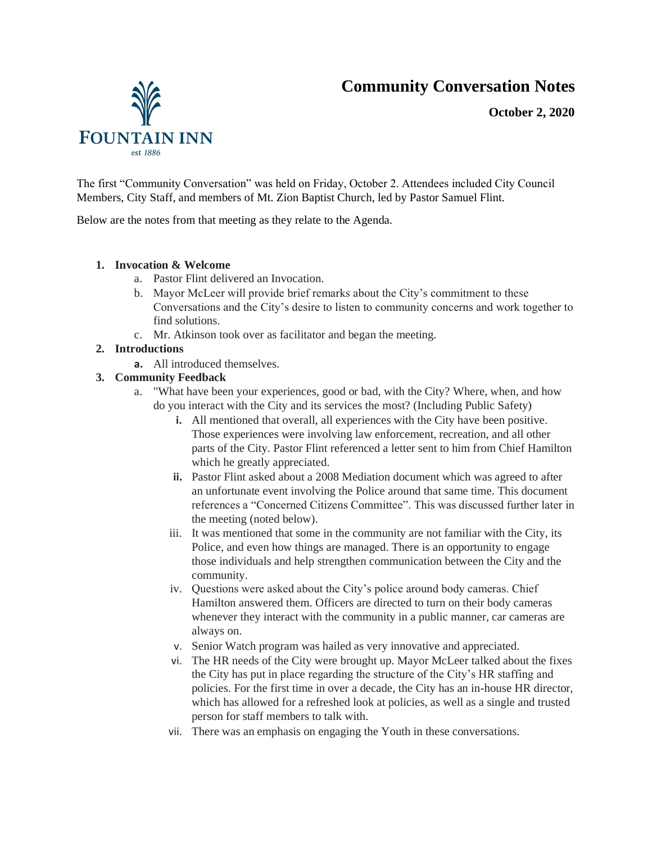# **Community Conversation Notes**

**October 2, 2020**



The first "Community Conversation" was held on Friday, October 2. Attendees included City Council Members, City Staff, and members of Mt. Zion Baptist Church, led by Pastor Samuel Flint.

Below are the notes from that meeting as they relate to the Agenda.

### **1. Invocation & Welcome**

- a. Pastor Flint delivered an Invocation.
- b. Mayor McLeer will provide brief remarks about the City's commitment to these Conversations and the City's desire to listen to community concerns and work together to find solutions.
- c. Mr. Atkinson took over as facilitator and began the meeting.

## **2. Introductions**

**a.** All introduced themselves.

## **3. Community Feedback**

- a. "What have been your experiences, good or bad, with the City? Where, when, and how do you interact with the City and its services the most? (Including Public Safety)
	- **i.** All mentioned that overall, all experiences with the City have been positive. Those experiences were involving law enforcement, recreation, and all other parts of the City. Pastor Flint referenced a letter sent to him from Chief Hamilton which he greatly appreciated.
	- **ii.** Pastor Flint asked about a 2008 Mediation document which was agreed to after an unfortunate event involving the Police around that same time. This document references a "Concerned Citizens Committee". This was discussed further later in the meeting (noted below).
	- iii. It was mentioned that some in the community are not familiar with the City, its Police, and even how things are managed. There is an opportunity to engage those individuals and help strengthen communication between the City and the community.
	- iv. Questions were asked about the City's police around body cameras. Chief Hamilton answered them. Officers are directed to turn on their body cameras whenever they interact with the community in a public manner, car cameras are always on.
	- v. Senior Watch program was hailed as very innovative and appreciated.
	- vi. The HR needs of the City were brought up. Mayor McLeer talked about the fixes the City has put in place regarding the structure of the City's HR staffing and policies. For the first time in over a decade, the City has an in-house HR director, which has allowed for a refreshed look at policies, as well as a single and trusted person for staff members to talk with.
	- vii. There was an emphasis on engaging the Youth in these conversations.